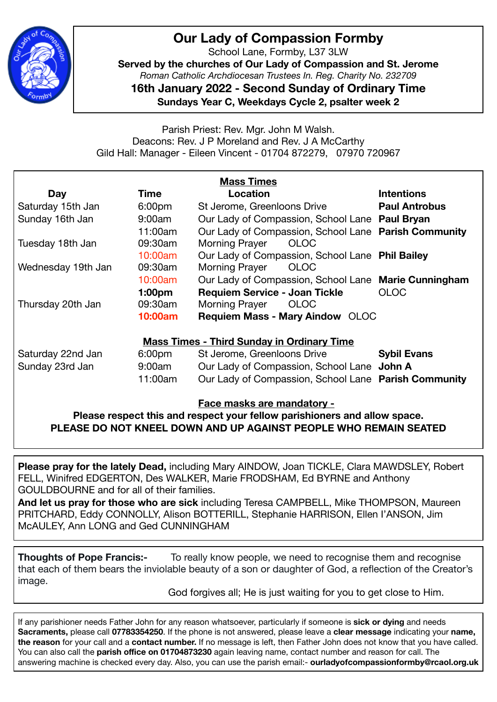

## **Our Lady of Compassion Formby**

School Lane, Formby, L37 3LW

**Served by the churches of Our Lady of Compassion and St. Jerome**  *Roman Catholic Archdiocesan Trustees In. Reg. Charity No. 232709* 

**16th January 2022 - Second Sunday of Ordinary Time Sundays Year C, Weekdays Cycle 2, psalter week 2** 

Parish Priest: Rev. Mgr. John M Walsh. Deacons: Rev. J P Moreland and Rev. J A McCarthy Gild Hall: Manager - Eileen Vincent - 01704 872279, 07970 720967

| <b>Mass Times</b>                                 |                    |                                                      |                      |
|---------------------------------------------------|--------------------|------------------------------------------------------|----------------------|
| Day                                               | Time               | Location                                             | <b>Intentions</b>    |
| Saturday 15th Jan                                 | 6:00 <sub>pm</sub> | St Jerome, Greenloons Drive                          | <b>Paul Antrobus</b> |
| Sunday 16th Jan                                   | 9:00am             | Our Lady of Compassion, School Lane Paul Bryan       |                      |
|                                                   | 11:00am            | Our Lady of Compassion, School Lane Parish Community |                      |
| Tuesday 18th Jan                                  | 09:30am            | Morning Prayer<br><b>OLOC</b>                        |                      |
|                                                   | 10:00am            | Our Lady of Compassion, School Lane Phil Bailey      |                      |
| Wednesday 19th Jan                                | 09:30am            | Morning Prayer<br><b>OLOC</b>                        |                      |
|                                                   | 10:00am            | Our Lady of Compassion, School Lane Marie Cunningham |                      |
|                                                   | 1:00 <sub>pm</sub> | <b>Requiem Service - Joan Tickle</b>                 | <b>OLOC</b>          |
| Thursday 20th Jan                                 | 09:30am            | Morning Prayer<br><b>OLOC</b>                        |                      |
|                                                   | 10:00am            | <b>Requiem Mass - Mary Aindow OLOC</b>               |                      |
| <b>Mass Times - Third Sunday in Ordinary Time</b> |                    |                                                      |                      |
| Saturday 22nd Jan                                 | 6:00 <sub>pm</sub> | St Jerome, Greenloons Drive                          | <b>Sybil Evans</b>   |
| Sunday 23rd Jan                                   | 9:00am             | Our Lady of Compassion, School Lane John A           |                      |
|                                                   | 11:00am            | Our Lady of Compassion, School Lane Parish Community |                      |
|                                                   |                    | Face masks are mandatory -                           |                      |

**Please respect this and respect your fellow parishioners and allow space. PLEASE DO NOT KNEEL DOWN AND UP AGAINST PEOPLE WHO REMAIN SEATED** 

**Please pray for the lately Dead,** including Mary AINDOW, Joan TICKLE, Clara MAWDSLEY, Robert FELL, Winifred EDGERTON, Des WALKER, Marie FRODSHAM, Ed BYRNE and Anthony GOULDBOURNE and for all of their families.

**And let us pray for those who are sick** including Teresa CAMPBELL, Mike THOMPSON, Maureen PRITCHARD, Eddy CONNOLLY, Alison BOTTERILL, Stephanie HARRISON, Ellen I'ANSON, Jim McAULEY, Ann LONG and Ged CUNNINGHAM

**Thoughts of Pope Francis:-** To really know people, we need to recognise them and recognise that each of them bears the inviolable beauty of a son or daughter of God, a reflection of the Creator's image.

 God forgives all; He is just waiting for you to get close to Him.

If any parishioner needs Father John for any reason whatsoever, particularly if someone is **sick or dying** and needs **Sacraments,** please call **07783354250**. If the phone is not answered, please leave a **clear message** indicating your **name, the reason** for your call and a **contact number.** If no message is left, then Father John does not know that you have called. You can also call the **parish office on 01704873230** again leaving name, contact number and reason for call. The answering machine is checked every day. Also, you can use the parish email:- **ourladyofcompassionformby@rcaol.org.uk**